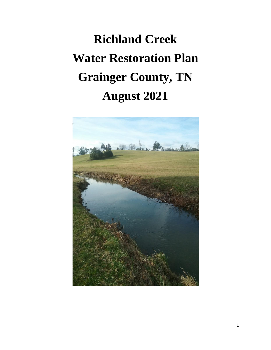# **Richland Creek Water Restoration Plan Grainger County, TN August 2021**

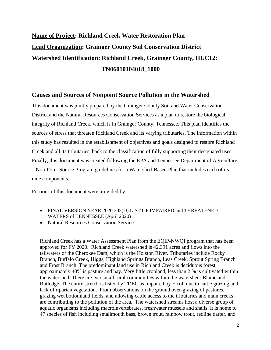# **Name of Project: Richland Creek Water Restoration Plan Lead Organization: Grainger County Soil Conservation District Watershed Identification: Richland Creek, Grainger County, HUC12: TN06010104018\_1000**

## **Causes and Sources of Nonpoint Source Pollution in the Watershed**

This document was jointly prepared by the Grainger County Soil and Water Conservation District and the Natural Resources Conservation Services as a plan to restore the biological integrity of Richland Creek, which is in Grainger County, Tennessee. This plan identifies the sources of stress that threaten Richland Creek and its varying tributaries. The information within this study has resulted in the establishment of objectives and goals designed to restore Richland Creek and all its tributaries, back to the classification of fully supporting their designated uses. Finally, this document was created following the EPA and Tennessee Department of Agriculture – Non-Point Source Program guidelines for a Watershed-Based Plan that includes each of its nine components.

Portions of this document were provided by:

- FINAL VERSION YEAR 2020 303(D) LIST OF IMPAIRED and THREATENED WATERS of TENNESSEE (April 2020)
- Natural Resources Conservation Service

Richland Creek has a Water Assessment Plan from the EQIP-NWQI program that has been approved for FY 2020. Richland Creek watershed is 42,391 acres and flows into the tailwaters of the Cherokee Dam, which is the Holston River. Tributaries include Rocky Branch, Buffalo Creek, Higgs, Highland Springs Branch, Leas Creek, Sprout Spring Branch and Frost Branch. The predominant land use in Richland Creek is deciduous forest, approximately 40% is pasture and hay. Very little cropland, less than 2 % is cultivated within the watershed. There are two small rural communities within the watershed: Blaine and Rutledge. The entire stretch is listed by TDEC as impaired by E.coli due to cattle grazing and lack of riparian vegetation. From observations on the ground over-grazing of pastures, grazing wet bottomland fields, and allowing cattle access to the tributaries and main creeks are contributing to the pollution of the area. The watershed streams host a diverse group of aquatic organisms including macroinvertebrates, freshwater mussels and snails. It is home to 47 species of fish including smallmouth bass, brown trout, rainbow trout, redline darter, and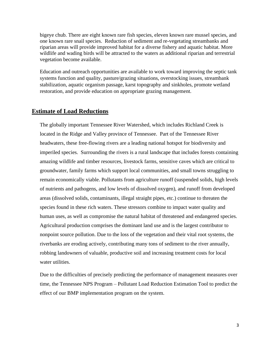bigeye chub. There are eight known rare fish species, eleven known rare mussel species, and one known rare snail species. Reduction of sediment and re-vegetating streambanks and riparian areas will provide improved habitat for a diverse fishery and aquatic habitat. More wildlife and wading birds will be attracted to the waters as additional riparian and terrestrial vegetation become available.

Education and outreach opportunities are available to work toward improving the septic tank systems function and quality, pasture/grazing situations, overstocking issues, streambank stabilization, aquatic organism passage, karst topography and sinkholes, promote wetland restoration, and provide education on appropriate grazing management.

#### **Estimate of Load Reductions**

The globally important Tennessee River Watershed, which includes Richland Creek is located in the Ridge and Valley province of Tennessee. Part of the Tennessee River headwaters, these free-flowing rivers are a leading national hotspot for biodiversity and imperiled species. Surrounding the rivers is a rural landscape that includes forests containing amazing wildlife and timber resources, livestock farms, sensitive caves which are critical to groundwater, family farms which support local communities, and small towns struggling to remain economically viable. Pollutants from agriculture runoff (suspended solids, high levels of nutrients and pathogens, and low levels of dissolved oxygen), and runoff from developed areas (dissolved solids, contaminants, illegal straight pipes, etc.) continue to threaten the species found in these rich waters. These stressors combine to impact water quality and human uses, as well as compromise the natural habitat of threatened and endangered species. Agricultural production comprises the dominant land use and is the largest contributor to nonpoint source pollution. Due to the loss of the vegetation and their vital root systems, the riverbanks are eroding actively, contributing many tons of sediment to the river annually, robbing landowners of valuable, productive soil and increasing treatment costs for local water utilities.

Due to the difficulties of precisely predicting the performance of management measures over time, the Tennessee NPS Program – Pollutant Load Reduction Estimation Tool to predict the effect of our BMP implementation program on the system.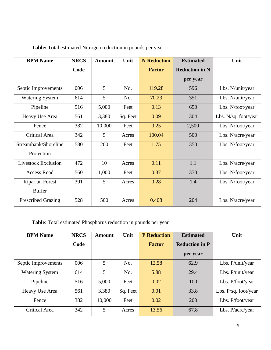| <b>BPM Name</b>            | <b>NRCS</b> | <b>Amount</b> | Unit     | <b>N</b> Reduction | <b>Estimated</b>      | Unit                 |
|----------------------------|-------------|---------------|----------|--------------------|-----------------------|----------------------|
|                            | Code        |               |          | <b>Factor</b>      | <b>Reduction in N</b> |                      |
|                            |             |               |          |                    | per year              |                      |
| Septic Improvements        | 006         | 5             | No.      | 119.28             | 596                   | Lbs. N/unit/year     |
| <b>Watering System</b>     | 614         | 5             | No.      | 70.23              | 351                   | Lbs. N/unit/year     |
| Pipeline                   | 516         | 5,000         | Feet     | 0.13               | 650                   | Lbs. N/foot/year     |
| Heavy Use Area             | 561         | 3,380         | Sq. Feet | 0.09               | 304                   | Lbs. N/sq. foot/year |
| Fence                      | 382         | 10,000        | Feet     | 0.25               | 2,500                 | Lbs. N/foot/year     |
| Critical Area              | 342         | 5             | Acres    | 100.04             | 500                   | Lbs. N/acre/year     |
| Streambank/Shoreline       | 580         | 200           | Feet     | 1.75               | 350                   | Lbs. N/foot/year     |
| Protection                 |             |               |          |                    |                       |                      |
| <b>Livestock Exclusion</b> | 472         | 10            | Acres    | 0.11               | 1.1                   | Lbs. N/acre/year     |
| <b>Access Road</b>         | 560         | 1,000         | Feet     | 0.37               | 370                   | Lbs. N/foot/year     |
| <b>Riparian Forest</b>     | 391         | 5             | Acres    | 0.28               | 1.4                   | Lbs. N/foot/year     |
| <b>Buffer</b>              |             |               |          |                    |                       |                      |
| <b>Prescribed Grazing</b>  | 528         | 500           | Acres    | 0.408              | 204                   | Lbs. N/acre/year     |

**Table:** Total estimated Nitrogen reduction in pounds per year

**Table**: Total estimated Phosphorus reduction in pounds per year

| <b>BPM Name</b>        | <b>NRCS</b> | Amount | Unit     | <b>P</b> Reduction | <b>Estimated</b>      | Unit                   |
|------------------------|-------------|--------|----------|--------------------|-----------------------|------------------------|
|                        | Code        |        |          | <b>Factor</b>      | <b>Reduction in P</b> |                        |
|                        |             |        |          |                    | per year              |                        |
| Septic Improvements    | 006         | 5      | No.      | 12.58              | 62.9                  | Lbs. P/unit/year       |
| <b>Watering System</b> | 614         | 5      | No.      | 5.88               | 29.4                  | Lbs. P/unit/year       |
| Pipeline               | 516         | 5,000  | Feet     | 0.02               | 100                   | Lbs. P/foot/year       |
| Heavy Use Area         | 561         | 3,380  | Sq. Feet | 0.01               | 33.8                  | Lbs. $P/sq.$ foot/year |
| Fence                  | 382         | 10,000 | Feet     | 0.02               | 200                   | Lbs. P/foot/year       |
| <b>Critical Area</b>   | 342         | 5      | Acres    | 13.56              | 67.8                  | Lbs. P/acre/year       |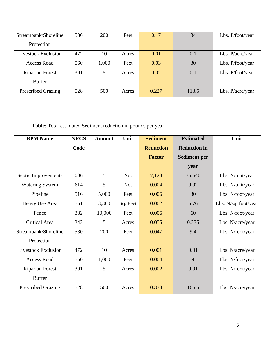| Streambank/Shoreline       | 580 | 200   | Feet  | 0.17  | 34    | Lbs. P/foot/year |
|----------------------------|-----|-------|-------|-------|-------|------------------|
| Protection                 |     |       |       |       |       |                  |
| <b>Livestock Exclusion</b> | 472 | 10    | Acres | 0.01  | 0.1   | Lbs. P/acre/year |
| <b>Access Road</b>         | 560 | 1,000 | Feet  | 0.03  | 30    | Lbs. P/foot/year |
| <b>Riparian Forest</b>     | 391 | 5     | Acres | 0.02  | 0.1   | Lbs. P/foot/year |
| <b>Buffer</b>              |     |       |       |       |       |                  |
| <b>Prescribed Grazing</b>  | 528 | 500   | Acres | 0.227 | 113.5 | Lbs. P/acre/year |

**Table**: Total estimated Sediment reduction in pounds per year

| <b>BPM Name</b>            | <b>NRCS</b> | <b>Amount</b> | Unit     | <b>Sediment</b>  | <b>Estimated</b>    | Unit                 |
|----------------------------|-------------|---------------|----------|------------------|---------------------|----------------------|
|                            | Code        |               |          | <b>Reduction</b> | <b>Reduction in</b> |                      |
|                            |             |               |          | <b>Factor</b>    | <b>Sediment per</b> |                      |
|                            |             |               |          |                  | year                |                      |
| Septic Improvements        | 006         | 5             | No.      | 7,128            | 35,640              | Lbs. N/unit/year     |
| <b>Watering System</b>     | 614         | 5             | No.      | 0.004            | 0.02                | Lbs. N/unit/year     |
| Pipeline                   | 516         | 5,000         | Feet     | 0.006            | 30                  | Lbs. N/foot/year     |
| Heavy Use Area             | 561         | 3,380         | Sq. Feet | 0.002            | 6.76                | Lbs. N/sq. foot/year |
| Fence                      | 382         | 10,000        | Feet     | 0.006            | 60                  | Lbs. N/foot/year     |
| Critical Area              | 342         | 5             | Acres    | 0.055            | 0.275               | Lbs. N/acre/year     |
| Streambank/Shoreline       | 580         | 200           | Feet     | 0.047            | 9.4                 | Lbs. N/foot/year     |
| Protection                 |             |               |          |                  |                     |                      |
| <b>Livestock Exclusion</b> | 472         | 10            | Acres    | 0.001            | 0.01                | Lbs. N/acre/year     |
| <b>Access Road</b>         | 560         | 1,000         | Feet     | 0.004            | $\overline{4}$      | Lbs. N/foot/year     |
| <b>Riparian Forest</b>     | 391         | 5             | Acres    | 0.002            | 0.01                | Lbs. N/foot/year     |
| <b>Buffer</b>              |             |               |          |                  |                     |                      |
| <b>Prescribed Grazing</b>  | 528         | 500           | Acres    | 0.333            | 166.5               | Lbs. N/acre/year     |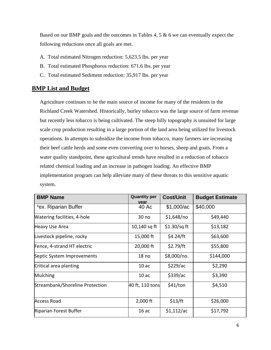Based on our BMP goals and the outcomes in Tables 4, 5  $\&$  6 we can eventually expect the following reductions once all goals are met.

- A. Total estimated Nitrogen reduction: 5,623.5 lbs. per year
- B. Total estimated Phosphorus reduction: 671.6 lbs. per year
- C. Total estimated Sediment reduction: 35,917 lbs. per year

## **BMP List and Budget**

Agriculture continues to be the main source of income for many of the residents in the Richland Creek Watershed. Historically, burley tobacco was the large source of farm revenue but recently less tobacco is being cultivated. The steep hilly topography is unsuited for large scale crop production resulting in a large portion of the land area being utilized for livestock operations. In attempts to subsidize the income from tobacco, many farmers are increasing their beef cattle herds and some even converting over to horses, sheep and goats. From a water quality standpoint, these agricultural trends have resulted in a reduction of tobacco related chemical loading and an increase in pathogen loading. An effective BMP implementation program can help alleviate many of these threats to this sensitive aquatic system.

| <b>BMP Name</b>                 | <b>Quantity per</b><br>vear | <b>Cost/Unit</b> | <b>Budget Estimate</b> |
|---------------------------------|-----------------------------|------------------|------------------------|
| *ex. Riparian Buffer            | 40 Ac                       | \$1,000/ac       | \$40,000               |
| Watering facilities, 4-hole     | 30 no                       | \$1,648/no       | \$49,440               |
| <b>Heavy Use Area</b>           | 10,140 sq ft                | $$1.30$ /sq ft   | \$13,182               |
| Livestock pipeline, rocky       | 15,000 ft                   | \$4.24/ft        | \$63,600               |
| Fence, 4-strand HT electric     | 20,000 ft                   | \$2.79/ft        | \$55,800               |
| Septic System Improvements      | 18 <sub>no</sub>            | \$8,000/no.      | \$144,000              |
| Critical area planting          | 10ac                        | \$229/ac         | \$2,290                |
| Mulching                        | 10ac                        | \$339/ac         | \$3,390                |
| Streambank/Shoreline Protection | 40 ft, 110 tons             | \$41/ton         | \$4,510                |
| <b>Access Road</b>              | $2,000$ ft                  | \$13/ft          | \$26,000               |
| Riparian Forest Buffer          | 16ac                        | \$1,112/ac       | \$17,792               |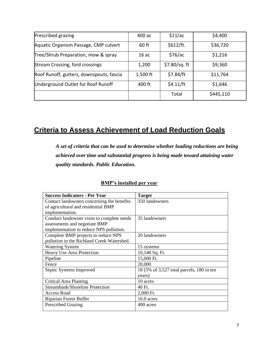| Prescribed grazing                       | 400 ac     | \$11/ac      | \$4,400   |
|------------------------------------------|------------|--------------|-----------|
| Aquatic Organism Passage, CMP culvert    | $60$ ft    | \$612/ft.    | \$36,720  |
| Tree/Shrub Preparation, mow & spray      | 16ac       | \$76/ac      | \$1,216   |
| Stream Crossing, ford crossings          | 1,200      | \$7.80/sq.ft | \$9,360   |
| Roof Runoff, gutters, downspouts, fascia | $1,500$ ft | \$7.84/ft    | \$11,764  |
| Underground Outlet for Roof Runoff       | 400 ft     | \$4.11/ft    | \$1,646   |
|                                          |            | Total        | \$445,110 |

# **Criteria to Assess Achievement of Load Reduction Goals**

*A set of criteria that can be used to determine whether loading reductions are being achieved over time and substantial progress is being made toward attaining water quality standards. Public Education.*

| <b>Success Indicators - Per Year</b>       | <b>Target</b>                             |
|--------------------------------------------|-------------------------------------------|
| Contact landowners concerning the benefits | 350 landowners                            |
| of agricultural and residential BMP        |                                           |
| implementation.                            |                                           |
| Conduct landowner visits to complete needs | 35 landowners                             |
| assessments and negotiate BMP              |                                           |
| implementation to reduce NPS pollution.    |                                           |
| Complete BMP projects to reduce NPS        | 20 landowners                             |
| pollution in the Richland Creek Watershed. |                                           |
| <b>Watering System</b>                     | 15 systems                                |
| Heavy Use Area Protection                  | 10,140 Sq. Ft.                            |
| Pipeline                                   | 15,000 Ft.                                |
| Fence                                      | 20,000                                    |
| Septic Systems Improved                    | 18 (5% of 3,527 total parcels, 180 in ten |
|                                            | years)                                    |
| Critical Area Planting                     | 10 acres                                  |
| Streambank/Shoreline Protection            | 40 Ft.                                    |
| <b>Access Road</b>                         | 2,000 Ft.                                 |
| <b>Riparian Forest Buffer</b>              | $16.0$ acres                              |
| <b>Prescribed Grazing</b>                  | 400 acres                                 |

## **BMP's installed per year**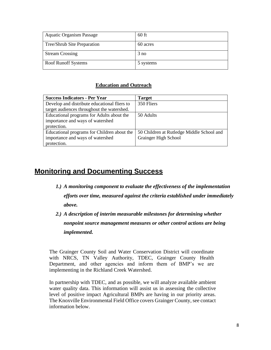| <b>Aquatic Organism Passage</b> | $60$ ft   |
|---------------------------------|-----------|
| Tree/Shrub Site Preparation     | 60 acres  |
| <b>Stream Crossing</b>          | 3 no      |
| <b>Roof Runoff Systems</b>      | 5 systems |

#### *<u>Education and Outreach</u>*

| <b>Success Indicators - Per Year</b>         | <b>Target</b>                             |
|----------------------------------------------|-------------------------------------------|
| Develop and distribute educational fliers to | 350 Fliers                                |
| target audiences throughout the watershed.   |                                           |
| Educational programs for Adults about the    | 50 Adults                                 |
| importance and ways of watershed             |                                           |
| protection.                                  |                                           |
| Educational programs for Children about the  | 50 Children at Rutledge Middle School and |
| importance and ways of watershed             | <b>Grainger High School</b>               |
| protection.                                  |                                           |

# **Monitoring and Documenting Success**

- *1.) A monitoring component to evaluate the effectiveness of the implementation efforts over time, measured against the criteria established under immediately above.*
- *2.) A description of interim measurable milestones for determining whether nonpoint source management measures or other control actions are being implemented.*

The Grainger County Soil and Water Conservation District will coordinate with NRCS, TN Valley Authority, TDEC, Grainger County Health Department, and other agencies and inform them of BMP's we are implementing in the Richland Creek Watershed.

In partnership with TDEC, and as possible, we will analyze available ambient water quality data. This information will assist us in assessing the collective level of positive impact Agricultural BMPs are having in our priority areas. The Knoxville Environmental Field Office covers Grainger County, see contact information below.